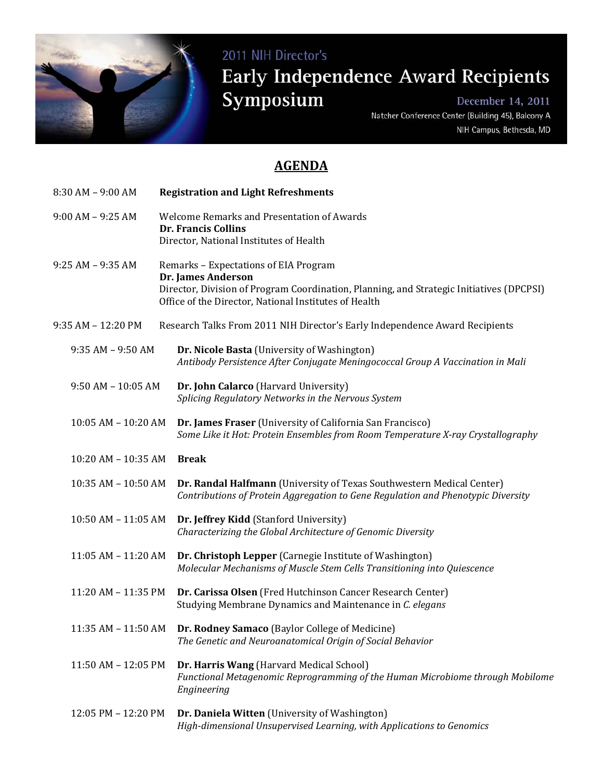

## 2011 NIH Director's Early Independence Award Recipients Symposium December 14, 2011

Natcher Conference Center (Building 45), Balcony A NIH Campus, Bethesda, MD

## **AGENDA**

| 8:30 AM - 9:00 AM      | <b>Registration and Light Refreshments</b>                                                                                                                                                                       |
|------------------------|------------------------------------------------------------------------------------------------------------------------------------------------------------------------------------------------------------------|
| $9:00 AM - 9:25 AM$    | Welcome Remarks and Presentation of Awards<br><b>Dr. Francis Collins</b><br>Director, National Institutes of Health                                                                                              |
| $9:25 AM - 9:35 AM$    | Remarks - Expectations of EIA Program<br>Dr. James Anderson<br>Director, Division of Program Coordination, Planning, and Strategic Initiatives (DPCPSI)<br>Office of the Director, National Institutes of Health |
| 9:35 AM - 12:20 PM     | Research Talks From 2011 NIH Director's Early Independence Award Recipients                                                                                                                                      |
| $9:35 AM - 9:50 AM$    | Dr. Nicole Basta (University of Washington)<br>Antibody Persistence After Conjugate Meningococcal Group A Vaccination in Mali                                                                                    |
| $9:50$ AM - $10:05$ AM | Dr. John Calarco (Harvard University)<br>Splicing Regulatory Networks in the Nervous System                                                                                                                      |
| 10:05 AM - 10:20 AM    | Dr. James Fraser (University of California San Francisco)<br>Some Like it Hot: Protein Ensembles from Room Temperature X-ray Crystallography                                                                     |
| 10:20 AM - 10:35 AM    | <b>Break</b>                                                                                                                                                                                                     |
| 10:35 AM - 10:50 AM    | Dr. Randal Halfmann (University of Texas Southwestern Medical Center)<br>Contributions of Protein Aggregation to Gene Regulation and Phenotypic Diversity                                                        |
| 10:50 AM - 11:05 AM    | Dr. Jeffrey Kidd (Stanford University)<br>Characterizing the Global Architecture of Genomic Diversity                                                                                                            |
| 11:05 AM - 11:20 AM    | Dr. Christoph Lepper (Carnegie Institute of Washington)<br>Molecular Mechanisms of Muscle Stem Cells Transitioning into Quiescence                                                                               |
| 11:20 AM - 11:35 PM    | Dr. Carissa Olsen (Fred Hutchinson Cancer Research Center)<br>Studying Membrane Dynamics and Maintenance in C. elegans                                                                                           |
| 11:35 AM - 11:50 AM    | <b>Dr. Rodney Samaco</b> (Baylor College of Medicine)<br>The Genetic and Neuroanatomical Origin of Social Behavior                                                                                               |
| 11:50 AM - 12:05 PM    | Dr. Harris Wang (Harvard Medical School)<br>Functional Metagenomic Reprogramming of the Human Microbiome through Mobilome<br>Engineering                                                                         |
| 12:05 PM - 12:20 PM    | Dr. Daniela Witten (University of Washington)<br>High-dimensional Unsupervised Learning, with Applications to Genomics                                                                                           |